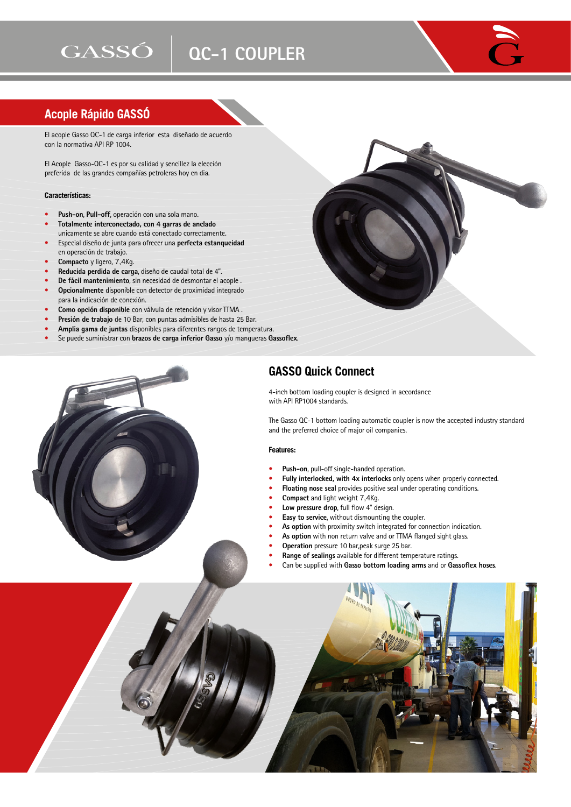